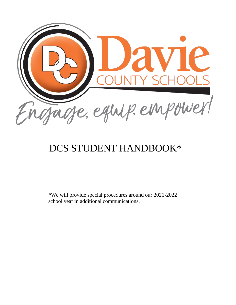

# DCS STUDENT HANDBOOK\*

\*We will provide special procedures around our 2021-2022 school year in additional communications.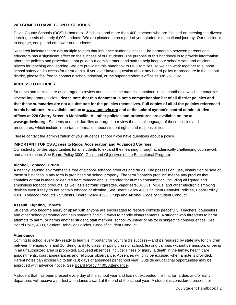# **WELCOME TO DAVIE COUNTY SCHOOLS**

Davie County Schools (DCS) is home to 13 schools and more than 400 teachers who are focused on meeting the diverse learning needs of nearly 6,000 students. We are pleased to be a part of your student's educational journey. Our mission is to engage, equip, and empower our students!

Research indicates there are multiple factors that influence student success. The partnership between parents and educators has a significant effect on the success of our students. The purpose of this handbook is to provide information about the policies and procedures that guide our administrators and staff to help keep our schools safe and efficient places for teaching and learning. We are providing this handbook to DCS families, so we can work together to support school safety and success for all students. If you ever have a question about any board policy or procedure in the school district, please feel free to contact a school principal, or the superintendent's office at 336-751-5921.

# **ACCESS TO POLICIES**

Students and families are encouraged to review and discuss the material contained in this handbook, which summarizes several important policies. **Please note that this document is not a comprehensive list of all district policies and that these summaries are not a substitute for the policies themselves. Full copies of all of the policies referenced in this handbook are available online at www.godavie.org and at the school system's central administrative offices at 220 Cherry Street in Mocksville. All other policies and procedures are available online at [www.godavie.org](http://www.davie.k12.nc.us/) .** Students and their families are urged to review the actual language of these policies and procedures, which include important information about student rights and responsibilities.

Please contact the administration of your student's school if you have questions about a policy.

# **IMPORTANT TOPICS Access to Rigor, Acceleration and Advanced Courses**

Our district provides opportunities for all students to expand their learning through academically challenging coursework and acceleration. See [Board Policy 3000, Goals and Objectives of the Educational Program.](https://boardpolicyonline.com/?b=davie&s=146735) 

# **Alcohol, Tobacco, Drugs**

A healthy learning environment is free of alcohol, tobacco products and drugs. The possession, use, distribution or sale of these substances in any form is prohibited on school property. The term "tobacco product" means any product that contains or that is made or derived from tobacco and is intended for human consumption, including all lighted and smokeless tobacco products, as well as electronic cigarettes, vaporizers, JUULs, MODs, and other electronic smoking devices even if they do not contain tobacco or nicotine. See [Board Policy 4300, Student Behavior Policies,](https://boardpolicyonline.com/?b=davie&s=146799) [Board Policy](https://boardpolicyonline.com/?b=davie&s=146808) [4320, Tobacco Products - Students,](https://boardpolicyonline.com/?b=davie&s=146808) [Board Policy 4325, Drugs and Alcohol,](https://boardpolicyonline.com/?b=davie&s=146809) [Code of Student Conduct.](https://docs.google.com/document/d/1NOpyxlPI9G2GTf1Xv8vgKKwg7ehJ-R2DOtB2aZEaSp0/edit?usp=sharing) 

# **Assault, Fighting, Threats**

Students who become angry or upset with anyone are encouraged to resolve conflicts peacefully. Teachers, counselors and other school personnel can help students find civil ways to handle disagreements. A student who threatens to harm, attempts to harm, or harms another student, staff member, school volunteer or visitor is subject to consequences. See [Board Policy 4300, Student Behavior Policies,](https://boardpolicyonline.com/?b=davie&s=146799) [Code of Student Conduct.](https://docs.google.com/document/d/1NOpyxlPI9G2GTf1Xv8vgKKwg7ehJ-R2DOtB2aZEaSp0/edit?usp=sharing) 

# **Attendance**

Coming to school every day ready to learn is important for your child's success—and it's required by state law for children between the ages of 7 and 16. Being tardy to class, skipping class or school, leaving campus without permission, or being in an unauthorized area is prohibited. Excused absences include: illness or injury, a death in the family, health care appointments, court appearances and religious observance. Absences will only be excused when a note is provided. Parent notes can excuse up to ten (10) days of absences per school year. Outside educational opportunities may be approved with advance notice. See [Board Policy 4400, Attendance.](https://boardpolicyonline.com/?b=davie&s=146825)

A student that has been present every day of the school year and has not exceeded the limit for tardies and/or early departures will receive a perfect attendance award at the end of the school year. A student is considered present for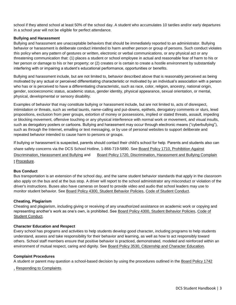school if they attend school at least 50% of the school day. A student who accumulates 10 tardies and/or early departures in a school year will not be eligible for perfect attendance.

# **Bullying and Harassment**

Bullying and harassment are unacceptable behaviors that should be immediately reported to an administrator. Bullying behavior or harassment is deliberate conduct intended to harm another person or group of persons. Such conduct violates this policy when any pattern of gestures or written, electronic or verbal communications, or any physical act or any threatening communication that: (1) places a student or school employee in actual and reasonable fear of harm to his or her person or damage to his or her property; or (2) creates or is certain to create a hostile environment by substantially interfering with or impairing a student's educational performance, opportunities or benefits.

Bullying and harassment include, but are not limited to, behavior described above that is reasonably perceived as being motivated by any actual or perceived differentiating characteristic or motivated by an individual's association with a person who has or is perceived to have a differentiating characteristic, such as race, color, religion, ancestry, national origin, gender, socioeconomic status, academic status, gender identity, physical appearance, sexual orientation, or mental, physical, developmental or sensory disability.

Examples of behavior that may constitute bullying or harassment include, but are not limited to, acts of disrespect, intimidation or threats, such as verbal taunts, name-calling and put-downs, epithets, derogatory comments or slurs, lewd propositions, exclusion from peer groups, extortion of money or possessions, implied or stated threats, assault, impeding or blocking movement, offensive touching or any physical interference with normal work or movement, and visual insults, such as derogatory posters or cartoons. Bullying and harassment may occur through electronic means ("cyberbullying"), such as through the Internet, emailing or text messaging, or by use of personal websites to support deliberate and repeated behavior intended to cause harm to persons or groups.

If bullying or harassment is suspected, parents should contact their child's school for help. Parents and students also can share safety concerns via the DCS School Hotline, 1-866-719-5890. See [Board Policy 1710, Prohibition Against](https://boardpolicyonline.com/?b=davie&s=146689) [Discrimination, Harassment and Bullying](https://boardpolicyonline.com/?b=davie&s=146689) and [Board Policy 1720, Discrimination, Harassment and Bullying Complain](https://boardpolicyonline.com/?b=davie&s=146690) [t](https://boardpolicyonline.com/?b=davie&s=146690) [Procedure.](https://boardpolicyonline.com/?b=davie&s=146690)

#### **Bus Conduct**

Bus transportation is an extension of the school day, and the same student behavior standards that apply in the classroom also apply on the bus and at the bus stop. A driver will report to the school administrator any misconduct or violation of the driver's instructions. Buses also have cameras on board to provide video and audio that school leaders may use to monitor student behavior. See [Board Policy 4300, Student Behavior Policies,](https://boardpolicyonline.com/?b=davie&s=146799) [Code of Student Conduct.](https://docs.google.com/document/d/1NOpyxlPI9G2GTf1Xv8vgKKwg7ehJ-R2DOtB2aZEaSp0/edit?usp=sharing)

# **Cheating, Plagiarism**

Cheating and plagiarism, including giving or receiving of any unauthorized assistance on academic work or copying and representing another's work as one's own, is prohibited. See [Board Policy 4300, Student Behavior Policies,](https://boardpolicyonline.com/?b=davie&s=146799) [Code of](https://docs.google.com/document/d/1NOpyxlPI9G2GTf1Xv8vgKKwg7ehJ-R2DOtB2aZEaSp0/edit?usp=sharing) [Student Conduct.](https://docs.google.com/document/d/1NOpyxlPI9G2GTf1Xv8vgKKwg7ehJ-R2DOtB2aZEaSp0/edit?usp=sharing)

#### **Character Education and Respect**

Every school has programs and activities to help students develop good character, including programs to help students understand, assess and take responsibility for their behavior and learning, as well as how to act responsibly toward others. School staff members ensure that positive behavior is practiced, demonstrated, modeled and reinforced within an environment of mutual respect, caring and dignity. See [Board Policy 3530, Citizenship and Character Education.](https://boardpolicyonline.com/?b=davie&s=146768)

#### **Complaint Procedures**

A student or parent may question a school-based decision by using the procedures outlined in the [Board Policy 1742](https://boardpolicyonline.com/?b=davie&s=146692)

[,](https://boardpolicyonline.com/?b=davie&s=146692) [Responding to Complaints.](https://boardpolicyonline.com/?b=davie&s=146692)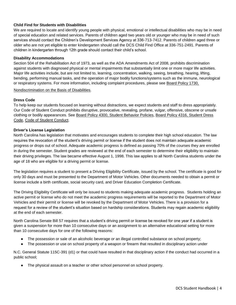# **Child Find for Students with Disabilities**

We are required to locate and identify young people with physical, emotional or intellectual disabilities who may be in need of special education and related services. Parents of children aged two years old or younger who may be in need of such services should contact the Children's Development Services Agency at 336-713-7412. Parents of children aged three or older who are not yet eligible to enter kindergarten should call the DCS Child Find Office at 336-751-2491. Parents of children in kindergarten through 12th grade should contact their child's school.

# **Disability Accommodations**

Section 504 of the Rehabilitation Act of 1973, as well as the ADA Amendments Act of 2008, prohibits discrimination against students with diagnosed physical or mental impairments that substantially limit one or more major life activities. Major life activities include, but are not limited to, learning, concentration, walking, seeing, breathing, hearing, lifting, bending, performing manual tasks, and the operation of major bodily functions/systems such as the immune, neurological or respiratory systems. For more information, including complaint procedures, please see [Board Policy 1730,](https://boardpolicyonline.com/?b=davie&s=146691)

[Nondiscrimination on the Basis of Disabilities.](https://boardpolicyonline.com/?b=davie&s=146691)

# **Dress Code**

To help keep our students focused on learning without distractions, we expect students and staff to dress appropriately. Our Code of Student Conduct prohibits disruptive, provocative, revealing, profane, vulgar, offensive, obscene or unsafe clothing or bodily appearances. See [Board Policy 4300, Student Behavior Policies,](https://boardpolicyonline.com/?b=davie&s=146799) [Board Policy 4316, Student Dress](https://boardpolicyonline.com/?b=davie&s=146806) [Code,](https://boardpolicyonline.com/?b=davie&s=146806) [Code of Student Conduct.](https://docs.google.com/document/d/1NOpyxlPI9G2GTf1Xv8vgKKwg7ehJ-R2DOtB2aZEaSp0/edit?usp=sharing)

#### **Driver's License Legislation**

North Carolina has legislation that motivates and encourages students to complete their high school education. The law requires the revocation of the student's driving permit or license if the student does not maintain adequate academic progress or drops out of school. Adequate academic progress is defined as passing 70% of the courses they are enrolled in during the semester. Student grades are reviewed at the end of each semester to determine their eligibility to maintain their driving privileges. The law became effective August 1, 1998. This law applies to all North Carolina students under the age of 18 who are eligible for a driving permit or license.

The legislation requires a student to present a Driving Eligibility Certificate, issued by the school. The certificate is good for only 30 days and must be presented to the Department of Motor Vehicles. Other documents needed to obtain a permit or license include a birth certificate, social security card, and Driver Education Completion Certificate.

The Driving Eligibility Certificate will only be issued to students making adequate academic progress. Students holding an active permit or license who do not meet the academic progress requirements will be reported to the Department of Motor Vehicles and their permit or license will be revoked by the Department of Motor Vehicles. There is a provision for a request for a review of the student's situation based on hardship considerations. Students may regain academic eligibility at the end of each semester.

North Carolina Senate Bill 57 requires that a student's driving permit or license be revoked for one year if a student is given a suspension for more than 10 consecutive days or an assignment to an alternative educational setting for more than 10 consecutive days for one of the following reasons:

- The possession or sale of an alcoholic beverage or an illegal controlled substance on school property;
- The possession or use on school property of a weapon or firearm that resulted in disciplinary action under

N.C. General Statute 115C-391 (d1) or that could have resulted in that disciplinary action if the conduct had occurred in a public school;

The physical assault on a teacher or other school personnel on school property.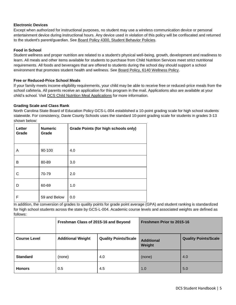# **Electronic Devices**

Except when authorized for instructional purposes, no student may use a wireless communication device or personal entertainment device during instructional hours. Any device used in violation of this policy will be confiscated and returned to the student's parent/guardian. See [Board Policy 4300, Student Behavior Policies.](https://boardpolicyonline.com/?b=davie&s=146799)

# **Food in School**

Student wellness and proper nutrition are related to a student's physical well-being, growth, development and readiness to learn. All meals and other items available for students to purchase from Child Nutrition Services meet strict nutritional requirements. All foods and beverages that are offered to students during the school day should support a school environment that promotes student health and wellness. See [Board Policy, 6140 Wellness Policy.](https://boardpolicyonline.com/?b=davie&s=146861)

# **Free or Reduced-Price School Meals**

If your family meets income eligibility requirements, your child may be able to receive free or reduced-price meals from the school cafeteria. All parents receive an application for this program in the mail. Applications also are available at your child's school. Visit DCS [Child Nutrition Meal Applications](http://www.schoolnutritionandfitness.com/index.php?sid=1496253184691&page=lunchapps) for more information.

# **Grading Scale and Class Rank**

North Carolina State Board of Education Policy GCS-L-004 established a 10-point grading scale for high school students statewide. For consistency, Davie County Schools uses the standard 10-point grading scale for students in grades 3-13 shown below:

| Letter<br>Grade | <b>Numeric</b><br>Grade | <b>Grade Points (for high schools only)</b> |
|-----------------|-------------------------|---------------------------------------------|
| A               | 90-100                  | 4.0                                         |
| в               | 80-89                   | 3.0                                         |
| С               | 70-79                   | 2.0                                         |
| D               | 60-69                   | 1.0                                         |
| F               | 59 and Below            | 0.0                                         |

In addition, the conversion of grades to quality points for grade point average (GPA) and student ranking is standardized for high school students across the state by GCS-L-004. Academic course levels and associated weights are defined as follows:

|                     | Freshman Class of 2015-16 and Beyond |                             | Freshmen Prior to 2015-16   |                             |
|---------------------|--------------------------------------|-----------------------------|-----------------------------|-----------------------------|
| <b>Course Level</b> | <b>Additional Weight</b>             | <b>Quality Points/Scale</b> | <b>Additional</b><br>Weight | <b>Quality Points/Scale</b> |
| <b>Standard</b>     | (none)                               | 4.0                         | (none)                      | 4.0                         |
| <b>Honors</b>       | 0.5                                  | 4.5                         | 1.0                         | 5.0                         |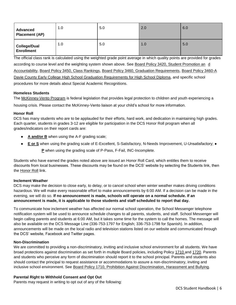| <b>Advanced</b><br><b>Placement (AP)</b> | 1.0 | 5.0 | 2.0 | 6.0 |
|------------------------------------------|-----|-----|-----|-----|
| <b>College/Dual</b><br><b>Enrollment</b> | 1.0 | 5.0 | 1.0 | 5.0 |

The official class rank is calculated using the weighted grade point average in which quality points are provided for grades according to course level and the weighting system shown above. See [Board Policy 3420, Student Promotion an](https://boardpolicyonline.com/?b=davie&s=146757) [d](https://boardpolicyonline.com/?b=davie&s=146757) [Accountability,](https://boardpolicyonline.com/?b=davie&s=146757) [Board Policy 3450, Class Rankings,](https://boardpolicyonline.com/?b=davie&s=146761) [Board Policy 3460, Graduation Requirements,](https://boardpolicyonline.com/?b=davie&s=146762) [Board Policy 3460-A](https://boardpolicyonline.com/?b=davie&s=146763) [Davie County Early College High School Graduation Requirements for High School Diploma,](https://boardpolicyonline.com/?b=davie&s=146763) and specific school procedures for more details about Special Academic Recognitions.

# **Homeless Students**

The [McKinney-Vento Program](http://davie.k12.nc.us/district/departments/student-services/mckinney-vento/) is federal legislation that provides legal protection to children and youth experiencing a

housing crisis. Please contact the McKinney-Vento liaison at your child's school for more information.

# **Honor Roll**

DCS has many students who are to be applauded for their efforts, hard work, and dedication in maintaining high grades. Each quarter, students in grades 3-12 are eligible for participation in the DCS Honor Roll program when all grades/indicators on their report cards are:

- **A and/or B** when using the A-F grading scale;
- **E or S** when using the grading scale of E-Excellent, S-Satisfactory, N-Needs Improvement, U-Unsatisfactory; ●

**P** when using the grading scale of P-Pass, F-Fail, INC-Incomplete.

Students who have earned the grades noted above are issued an Honor Roll Card, which entitles them to receive discounts from local businesses. These discounts may be found on the DCS' website by selecting the Students link, then the [Honor Roll](http://davie.k12.nc.us/district/public-information/honor-roll/) link.

# **Inclement Weather**

DCS may make the decision to close early, to delay, or to cancel school when winter weather makes driving conditions hazardous. We will make every reasonable effort to make announcements by 6:00 AM. If a decision can be made in the evening, we will do so. **If no announcement is made, schools will operate on a normal schedule. If an announcement is made, it is applicable to those students and staff scheduled to report that day.**

To communicate how inclement weather has affected our normal school operation, the School Messenger telephone notification system will be used to announce schedule changes to all parents, students, and staff. School Messenger will begin calling parents and students at 6:00 AM, but it takes some time for the system to call the homes. The message will also be available on the DCS Message Line (336-753-1797 for English; 336-753-1798 for Spanish). In addition, announcements will be made on the local radio and television stations listed on our website and communicated through the DCS' website, Facebook and Twitter pages.

# **Non-Discrimination**

We are committed to providing a non-discriminatory, inviting and inclusive school environment for all students. We have broad protections against discrimination as set forth in multiple Board policies, including Policy [1710 a](https://boardpolicyonline.com/?b=davie&s=146689)nd [1720.](https://boardpolicyonline.com/?b=davie&s=146690) Parents and students who perceive any form of discrimination should report it to the school principal. Parents and students also should contact the principal to request assistance or accommodations to assure a non-discriminatory, inviting and inclusive school environment. See [Board Policy 1710, Prohibition Against Discrimination, Harassment and Bullying.](https://boardpolicyonline.com/?b=davie&s=146689)

# **Parental Right to Withhold Consent and Opt Out**

Parents may request in writing to opt out of any of the following: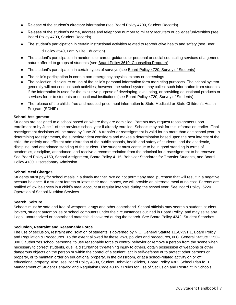- Release of the student's directory information (see [Board Policy 4700, Student Records\)](https://boardpolicyonline.com/?b=davie&s=146827)
- Release of the student's name, address and telephone number to military recruiters or colleges/universities (see [Board Policy 4700, Student Records\)](https://boardpolicyonline.com/?b=davie&s=146827)
- The student's participation in certain instructional activities related to reproductive health and safety (see [Boar](https://boardpolicyonline.com/?b=davie&s=146769)

[d Policy 3540, Family Life Education\)](https://boardpolicyonline.com/?b=davie&s=146769)

- The student's participation in academic or career guidance or personal or social counseling services of a generic nature offered to groups of students (see [Board Policy 3610, Counseling Program\)](https://boardpolicyonline.com/?b=davie&s=146772)
- The student's participation in certain types of surveys (see [Board Policy 4720, Survey of Students\)](https://boardpolicyonline.com/?b=davie&s=146830)
- The child's participation in certain non-emergency physical exams or screenings
- The collection, disclosure or use of the child's personal information form marketing purposes. The school system generally will not conduct such activities; however, the school system may collect such information from students if the information is used for the exclusive purpose of developing, evaluating, or providing educational products or services for or to students or educational institutions (see [Board Policy 4720, Survey of Students\)](https://boardpolicyonline.com/?b=davie&s=146830)
- The release of the child's free and reduced-price meal information to State Medicaid or State Children's Health Program (SCHIP)

#### **School Assignment**

Students are assigned to a school based on where they are domiciled. Parents may request reassignment upon enrollment or by June 1 of the previous school year if already enrolled. Schools may ask for this information earlier. Final reassignment decisions will be made by June 30. A transfer or reassignment is valid for no more than one school year. In determining reassignments, the superintendent considers and makes a determination based upon the best interest of the child, the orderly and efficient administration of the public schools, health and safety of students, and the academic, discipline, and attendance standing of the student. The student must continue to be in good standing in terms of academics, discipline, attendance, and receive a recommendation from the principal for a reassignment to be renewed. See [Board Policy 4150, School Assignment,](https://boardpolicyonline.com/?b=davie&s=146788) [Board Policy 4115, Behavior Standards for Transfer Students,](https://boardpolicyonline.com/?b=davie&s=146783) and [Board](https://boardpolicyonline.com/?b=davie&s=146786) [Policy 4130, Discretionary Admission.](https://boardpolicyonline.com/?b=davie&s=146786)

#### **School Meal Charges**

Students must pay for school meals in a timely manner. We do not permit any meal purchase that will result in a negative account balance. If a student forgets or loses their meal money, we will provide an alternate meal at no cost. Parents are notified of low balances in a child's meal account at regular intervals during the school year. See [Board Policy, 6220](https://boardpolicyonline.com/?b=davie&s=146864) [Operation of School Nutrition Services.](https://boardpolicyonline.com/?b=davie&s=146864)

#### **Search, Seizure**

Schools must be safe and free of weapons, drugs and other contraband. School officials may search a student, student lockers, student automobiles or school computers under the circumstances outlined in Board Policy, and may seize any illegal, unauthorized or contraband materials discovered during the search. See [Board Policy 4342, Student Searches.](https://boardpolicyonline.com/?b=davie&s=146817)

#### **Seclusion, Restraint and Reasonable Force**

The use of seclusion, restraint and isolation of students is governed by N.C. General Statute 115C-391.1, Board Policy and Regulation & Procedures. To the extent allowed by these laws, policies and procedures, N.C. General Statute 115C-390.3 authorizes school personnel to use reasonable force to control behavior or remove a person from the scene when necessary to correct students, quell a disturbance threatening injury to others, obtain possession of weapons or other dangerous objects on the person or within the control of a student, act in self-defense or to protect other persons or property, or to maintain order on educational property, in the classroom, or at a school-related activity on or off educational property. Also, see [Board Policy 4300, Student Behavior Policies,](https://boardpolicyonline.com/?b=davie&s=146799) [Board Policy 4302 School Plan fo](https://boardpolicyonline.com/?b=davie&s=146801) [r](https://boardpolicyonline.com/?b=davie&s=146801) [Management of Student Behavior](https://boardpolicyonline.com/?b=davie&s=146801) and [Regulation Code 4302-R Rules for Use of Seclusion and Restraint](https://boardpolicyonline.com/?b=davie&s=146802) in School[s.](https://boardpolicyonline.com/?b=davie&s=146802)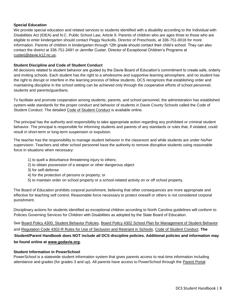# **Special Education**

We provide special education and related services to students identified with a disability according to the Individual with Disabilities Act (IDEA) and N.C. Public School Law, Article 9. Parents of children who are ages three to those who are eligible to enter kindergarten should contact Peggy Nuckolls, Director of Preschools, at 336-751-0016 for more information. Parents of children in kindergarten through 12th grade should contact their child's school. They can also contact the district at 336-751-2491 or Jennifer Custer, Director of Exceptional Children's Programs at [custerj@davie.k12.nc.us.](mailto:custerj@davie.k12.nc.us) 

#### **Student Discipline and Code of Student Conduct**

All decisions related to student behavior are guided by the Davie Board of Education's commitment to create safe, orderly and inviting schools. Each student has the right to a wholesome and supportive learning atmosphere, and no student has the right to disrupt or interfere in the learning process of fellow students. DCS recognizes that establishing order and maintaining discipline in the school setting can be achieved only through the cooperative efforts of school personnel, students and parents/guardians.

To facilitate and promote cooperation among students, parents, and school personnel, the administration has established system-wide standards for the proper conduct and behavior of students in Davie County Schools called the Code of Student Conduct. The detailed [Code of Student Conduct](https://docs.google.com/document/d/1NOpyxlPI9G2GTf1Xv8vgKKwg7ehJ-R2DOtB2aZEaSp0/edit?usp=sharing) is available online.

The principal has the authority and responsibility to take appropriate action regarding any prohibited or criminal student behavior. The principal is responsible for informing students and parents of any standards or rules that, if violated, could result in short-term or long-term suspension or expulsion.

The teacher has the responsibility to manage student behavior in the classroom and while students are under his/her supervision. Teachers and other school personnel have the authority to remove disruptive students using reasonable force in situations when necessary:

- 1) to quell a disturbance threatening injury to others;
- 2) to obtain possession of a weapon or other dangerous object
- 3) for self-defense
- 4) for the protection of persons or property; or
- 5) to maintain order on school property or a school-related activity on or off school property.

The Board of Education prohibits corporal punishment, believing that other consequences are more appropriate and effective for teaching self control. Reasonable force necessary to protect oneself or others is not considered corporal punishment.

Disciplinary actions for students identified as exceptional children according to North Carolina guidelines will conform to Policies Governing Services for Children with Disabilities as adopted by the State Board of Education.

See [Board Policy 4300, Student Behavior Policies,](https://boardpolicyonline.com/?b=davie&s=146799) [Board Policy 4302 School Plan for Management of Student Behavior](https://boardpolicyonline.com/?b=davie&s=146801) an[d Regulation Code 4302-R Rules for Use of Seclusion and Restraint in Schools,](https://boardpolicyonline.com/?b=davie&s=146802) [Code of Student Conduct.](https://docs.google.com/document/d/1NOpyxlPI9G2GTf1Xv8vgKKwg7ehJ-R2DOtB2aZEaSp0/edit?usp=sharing) **The Student/Parent Handbook does NOT include all DCS discipline policies. Additional policies and information may be found online at [www.godavie.org](http://www.davie.k12.nc.us/).** 

# **Student Information in PowerSchool**

PowerSchool is a statewide student information system that gives parents access to real-time information including attendance and grades (for grades 3 and up). All parents have access to PowerSchool through the [Parent Portal.](http://davie.k12.nc.us/district/departments/instructional/accountability-and-student-information/powerschool/)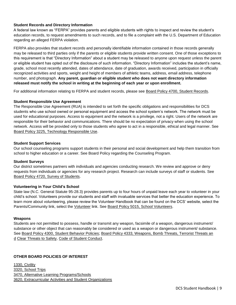# **Student Records and Directory Information**

A federal law known as "FERPA" provides parents and eligible students with rights to inspect and review the student's education records, to request amendments to such records, and to file a complaint with the U.S. Department of Education regarding an alleged FERPA violation.

FERPA also provides that student records and personally identifiable information contained in those records generally may be released to third parties only if the parents or eligible students provide written consent. One of those exceptions to this requirement is that "Directory Information" about a student may be released to anyone upon request unless the parent or eligible student has opted out of the disclosure of such information. "Directory Information" includes the student's name, grade, school most recently attended, dates of attendance, date of graduation, awards received, participation in officially recognized activities and sports, weight and height of members of athletic teams, address, email address, telephone number, and photograph. **Any parent, guardian or eligible student who does not want directory information released must notify the school in writing at the beginning of each year or upon enrollment.** 

For additional information relating to FERPA and student records, please see [Board Policy 4700, Student Records.](https://boardpolicyonline.com/?b=davie&s=146827)

# **Student Responsible Use Agreement**

The Responsible Use Agreement (RUA) is intended to set forth the specific obligations and responsibilities for DCS students who use school owned or personal equipment and access the school system's network. The network must be used for educational purposes. Access to equipment and the network is a privilege, not a right. Users of the network are responsible for their behavior and communications. There should be no expectation of privacy when using the school network. Access will be provided only to those students who agree to act in a responsible, ethical and legal manner. See [Board Policy 3225, Technology Responsible Use.](https://boardpolicyonline.com/?b=davie&s=146748)

#### **Student Support Services**

Our school counseling programs support students in their personal and social development and help them transition from school to higher education or a career. See Board Policy regarding the Counseling Program.

# **Student Surveys**

Our district sometimes partners with individuals and agencies conducting research. We review and approve or deny requests from individuals or agencies for any research project. Research can include surveys of staff or students. See [Board Policy 4720, Survey of Students.](https://boardpolicyonline.com/?b=davie&s=146830)

# **Volunteering in Your Child's School**

State law (N.C. General Statute 95-28.3) provides parents up to four hours of unpaid leave each year to volunteer in your child's school. Volunteers provide our students and staff with invaluable services that better the education experience. To learn more about volunteering, please review the Volunteer Handbook that can be found on the DCS' website, select the Parents/Community link, select the [Volunteer](http://davie.k12.nc.us/parents/volunteer/) link. See [Board Policy 5015, School Volunteers.](https://boardpolicyonline.com/?b=davie&s=146835)

#### **Weapons**

Students are not permitted to possess, handle or transmit any weapon, facsimile of a weapon, dangerous instrument/ substance or other object that can reasonably be considered or used as a weapon or dangerous instrument/ substance. See [Board Policy 4300, Student Behavior Policies;](https://boardpolicyonline.com/?b=davie&s=146799) [Board Policy 4333, Weapons, Bomb Threats, Terrorist Threats an](https://boardpolicyonline.com/?b=davie&s=146813) [d](https://boardpolicyonline.com/?b=davie&s=146813) [Clear Threats to Safety,](https://boardpolicyonline.com/?b=davie&s=146813) [Code of Student Conduct.](https://docs.google.com/document/d/1NOpyxlPI9G2GTf1Xv8vgKKwg7ehJ-R2DOtB2aZEaSp0/edit?usp=sharing)

# **OTHER BOARD POLICIES OF INTEREST**

[1330, Civility](https://boardpolicyonline.com/?b=davie&s=146685) [3320, School Trips](https://boardpolicyonline.com/?b=davie&s=146753) [3470, Alternative Learning Programs/Schools](https://boardpolicyonline.com/?b=davie&s=146764) [3620, Extracurricular Activities and Student Organizations](https://boardpolicyonline.com/?b=davie&s=146773)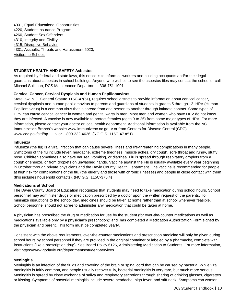[4001, Equal Educational Opportunities](https://boardpolicyonline.com/?b=davie&s=146776) [4220, Student Insurance Program](https://boardpolicyonline.com/?b=davie&s=146793) [4260, Student Sex Offenders](https://boardpolicyonline.com/?b=davie&s=146797) [4310, Integrity and Civility](https://boardpolicyonline.com/?b=davie&s=146804) [4315, Disruptive Behavior](https://boardpolicyonline.com/?b=davie&s=146805) [4331, Assaults, Threats and Harassment](https://boardpolicyonline.com/?b=davie&s=146812) [5](https://boardpolicyonline.com/?b=davie&s=146812)[020,](https://boardpolicyonline.com/?b=davie&s=146836) [Visitors to Schools](https://boardpolicyonline.com/?b=davie&s=146836)

# **STUDENT HEALTH AND SAFETY Asbestos**

As required by federal and state laws, this notice is to inform all workers and building occupants and/or their legal guardians about asbestos in school buildings. Anyone who wishes to see the asbestos files may contact the school or call Michael Spillman, DCS Maintenance Department, 336-751-1991.

#### **Cervical Cancer, Cervical Dysplasia and Human Papillomavirus**

State law, N.C. General Statute 115C-47(51), requires school districts to provide information about cervical cancer, cervical dysplasia and human papillomavirus to parents and guardians of students in grades 5 through 12. HPV (Human Papillomavirus) is a common virus that is spread from one person to another through intimate contact. Some types of HPV can cause cervical cancer in women and genital warts in men. Most men and women who have HPV do not know they are infected. A vaccine is now available to protect females (ages 9 to 26) from some major types of HPV. For more information, please contact your doctor or local health department. Additional information is available from the NC Immunization Branch's websit[e www.immunizenc.nc.go](http://immunize.nc.gov/) [v](http://immunize.nc.gov/) or from Centers for Disease Control (CDC) [www.cdc.gov/std/hp](http://www.cdc.gov/std/hpv) [v](http://www.cdc.gov/std/hpv) or 1-800-232-4636. (NC G.S. 115C-47 #51)

#### **Influenza**

Influenza (the flu) is a viral infection that can cause severe illness and life-threatening complications in many people. Symptoms of the flu include fever, headache, extreme tiredness, muscle aches, dry cough, sore throat and runny, stuffy nose. Children sometimes also have nausea, vomiting, or diarrhea. Flu is spread through respiratory droplets from a cough or sneeze, or from droplets on unwashed hands. Vaccine against the Flu is usually available every year beginning in October through private physicians and the Davie County Health Department. The vaccine is recommended for people at high risk for complications of the flu, (the elderly and those with chronic illnesses) and people in close contact with them (this includes household contacts). (NC G.S. 115C-375.4)

#### **Medications at School**

The Davie County Board of Education recognizes that students may need to take medication during school hours. School personnel may administer drugs or medication prescribed by a doctor upon the written request of the parents. To minimize disruptions to the school day, medicines should be taken at home rather than at school whenever feasible. School personnel should not agree to administer any medication that could be taken at home.

A physician has prescribed the drug or medication for use by the student (for over-the-counter medications as well as medications available only by a physician's prescription); and has completed a Medication Authorization Form signed by the physician and parent. This form must be completed yearly.

Consistent with the above requirements, over-the-counter medications and prescription medicine will only be given during school hours by school personnel if they are provided in the original container or labeled by a pharmacist, complete with instructions (like a prescription drug). See [Board Policy 6125, Administering Medication to Students.](https://boardpolicyonline.com/?b=davie&s=146858) For more information, visit [https://www.godavie.org/departments/student-services](http://davie.k12.nc.us/district/departments/student-services/school-health/stu/).

# **Meningitis**

Meningitis is an infection of the fluids and covering of the brain or spinal cord that can be caused by bacteria. While viral meningitis is fairly common, and people usually recover fully, bacterial meningitis is very rare, but much more serious. Meningitis is spread by close exchange of saliva and respiratory secretions through sharing of drinking glasses, cigarettes or kissing. Symptoms of bacterial meningitis include severe headache, high fever, and stiff neck. Symptoms can worsen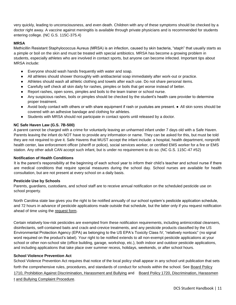very quickly, leading to unconsciousness, and even death. Children with any of these symptoms should be checked by a doctor right away. A vaccine against meningitis is available through private physicians and is recommended for students entering college. (NC G.S. 115C-375.4)

# **MRSA**

Methicillin Resistant Staphylococcus Aureus (MRSA) is an infection, caused by skin bacteria, "staph" that usually starts as a pimple or boil on the skin and must be treated with special antibiotics. MRSA has become a growing problem in students, especially athletes who are involved in contact sports, but anyone can become infected. Important tips about MRSA include:

- Everyone should wash hands frequently with water and soap.
- All athletes should shower thoroughly with antibacterial soap immediately after work-out or practice.
- Athletes should wash all athletic clothing and towels after each use. Do not share personal items.
- Carefully self check all skin daily for rashes, pimples or boils that get worse instead of better.
- Report rashes, open sores, pimples and boils to the team trainer or school nurse.
- Any suspicious rashes, boils or pimples should be checked by the student's health care provider to determine proper treatment.
- Avoid body contact with others or with share equipment if rash or pustules are present. All skin sores should be covered with an adhesive bandage and clothing for athletes.
- Students with MRSA should not participate in contact sports until released by a doctor.

#### **NC Safe Haven Law (G.S. 7B-500)**

A parent cannot be charged with a crime for voluntarily leaving an unharmed infant under 7 days old with a Safe Haven. Parents leaving the infant do NOT have to provide any information or name. They can be asked for this, but must be told they are not required to give it. Safe Havens that MUST accept the infant include: a hospital, health department, nonprofit health center, law enforcement officer (sheriff or police), social services worker, or certified EMS worker for a fire or EMS station. Any other adult CAN accept such infant, but is under no requirement to do so. (NC G.S. 115C-47 #52)

#### **Notification of Health Conditions**

It is the parent's responsibility at the beginning of each school year to inform their child's teacher and school nurse if there are medical conditions that require special measures during the school day. School nurses are available for health consultation, but are not present at every school on a daily basis.

#### **Pesticide Use by Schools**

Parents, guardians, custodians, and school staff are to receive annual notification on the scheduled pesticide use on school property.

North Carolina state law gives you the right to be notified annually of our school system's pesticide application schedule, and 72 hours in advance of pesticide applications made outside that schedule, but the latter only if you request notification ahead of time using the [request form.](http://davie.k12.nc.us/files/5914/6836/7830/Maintenance_-_Request_for_Notifications_Before_Non-Exempt_Pesticides_Applications.pdf)

Certain relatively low-risk pesticides are exempted from these notification requirements, including antimicrobial cleansers, disinfectants, self-contained baits and crack-and-crevice treatments, and any pesticide products classified by the US Environmental Protection Agency (EPA) as belonging to the US EPA's Toxicity Class IV, "relatively nontoxic" (no signal word required on the product's label). Your right to be notified extends to all non-exempt pesticide applications at your school or other non-school site (office building, garage, workshop, etc.), both indoor and outdoor pesticide applications, and including applications that take place over summer recess, holidays, weekends, or after school hours.

#### **School Violence Prevention Act**

School Violence Prevention Act requires that notice of the local policy shall appear in any school unit publication that sets forth the comprehensive rules, procedures, and standards of conduct for schools within the school. See Board Polic[y](https://boardpolicyonline.com/?b=davie&s=146689) [1710, Prohibition Against Discrimination, Harassment and Bullying](https://boardpolicyonline.com/?b=davie&s=936402) and Board Policy 1720, Discrimination, Harassmen [t](https://boardpolicyonline.com/?b=davie&s=146690) [and Bullying Complaint Procedure.](https://boardpolicyonline.com/?b=davie&s=146690)